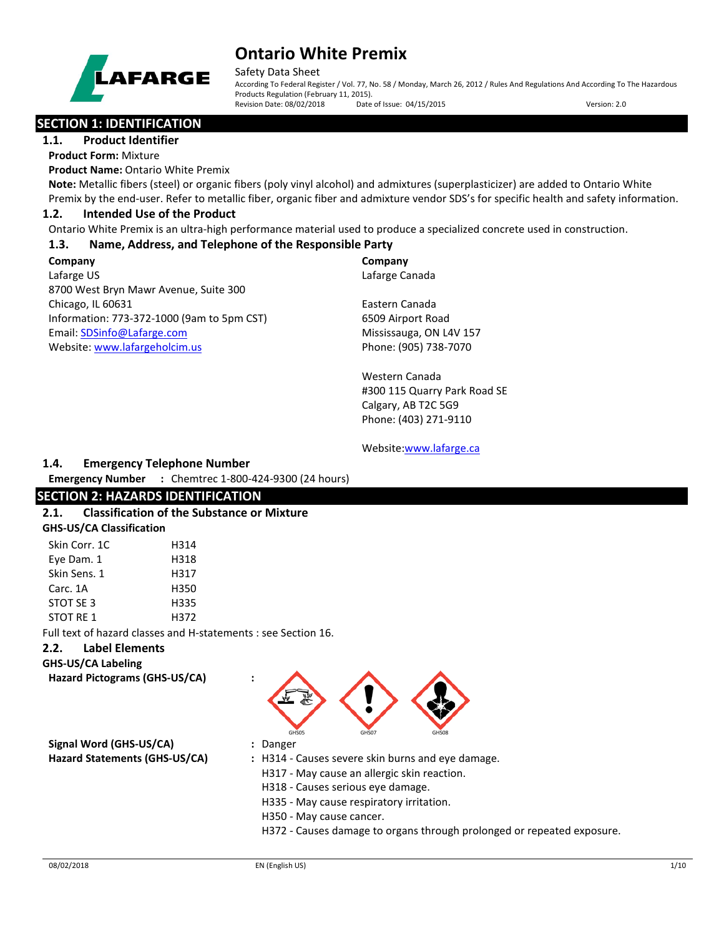

Safety Data Sheet

According To Federal Register / Vol. 77, No. 58 / Monday, March 26, 2012 / Rules And Regulations And According To The Hazardous Products Regulation (February 11, 2015). Revision Date: 08/02/2018 Date of Issue: 04/15/2015 Version: 2.0

## **SECTION 1: IDENTIFICATION**

**1.1. Product Identifier**

**Product Form:** Mixture

**Product Name:** Ontario White Premix

**Note:** Metallic fibers (steel) or organic fibers (poly vinyl alcohol) and admixtures (superplasticizer) are added to Ontario White Premix by the end-user. Refer to metallic fiber, organic fiber and admixture vendor SDS's for specific health and safety information.

## **1.2. Intended Use of the Product**

Ontario White Premix is an ultra-high performance material used to produce a specialized concrete used in construction.

## **1.3. Name, Address, and Telephone of the Responsible Party**

**Company**  Lafarge US 8700 West Bryn Mawr Avenue, Suite 300 Chicago, IL 60631 Information: 773-372-1000 (9am to 5pm CST) Email[: SDSinfo@Lafarge.com](file://andre/Users/jbenson/MINE/Lafarge/Batch%203/SDSinfo@Lafarge.com) Website: [www.lafargeholcim.us](file://andre/Users/jbenson/MINE/Lafarge/Batch%203/www.lafargeholcim.us)

**Company** Lafarge Canada

Eastern Canada 6509 Airport Road Mississauga, ON L4V 157 Phone: (905) 738-7070

Western Canada #300 115 Quarry Park Road SE Calgary, AB T2C 5G9 Phone: (403) 271-9110

Website[:www.lafarge.ca](file://andre/Users/jbenson/MINE/Lafarge/Batch%203/www.lafarge.ca)

## **1.4. Emergency Telephone Number**

**Emergency Number :** Chemtrec 1-800-424-9300 (24 hours)

## **SECTION 2: HAZARDS IDENTIFICATION**

### **2.1. Classification of the Substance or Mixture GHS-US/CA Classification**

| Skin Corr. 1C    | H314 |
|------------------|------|
| Eye Dam. 1       | H318 |
| Skin Sens. 1     | H317 |
| Carc. 1A         | H350 |
| STOT SE 3        | H335 |
| <b>STOT RE 1</b> | H372 |

Full text of hazard classes and H-statements : see Section 16.

### **2.2. Label Elements**

**GHS-US/CA Labeling**

**Hazard Pictograms (GHS-US/CA) :**

**Signal Word (GHS-US/CA) :** Danger

- GHS05 GHS07 GHS08
- 
- **Hazard Statements (GHS-US/CA) :** H314 Causes severe skin burns and eye damage.
	- H317 May cause an allergic skin reaction.
	- H318 Causes serious eye damage.
	- H335 May cause respiratory irritation.
	- H350 May cause cancer.
	- H372 Causes damage to organs through prolonged or repeated exposure.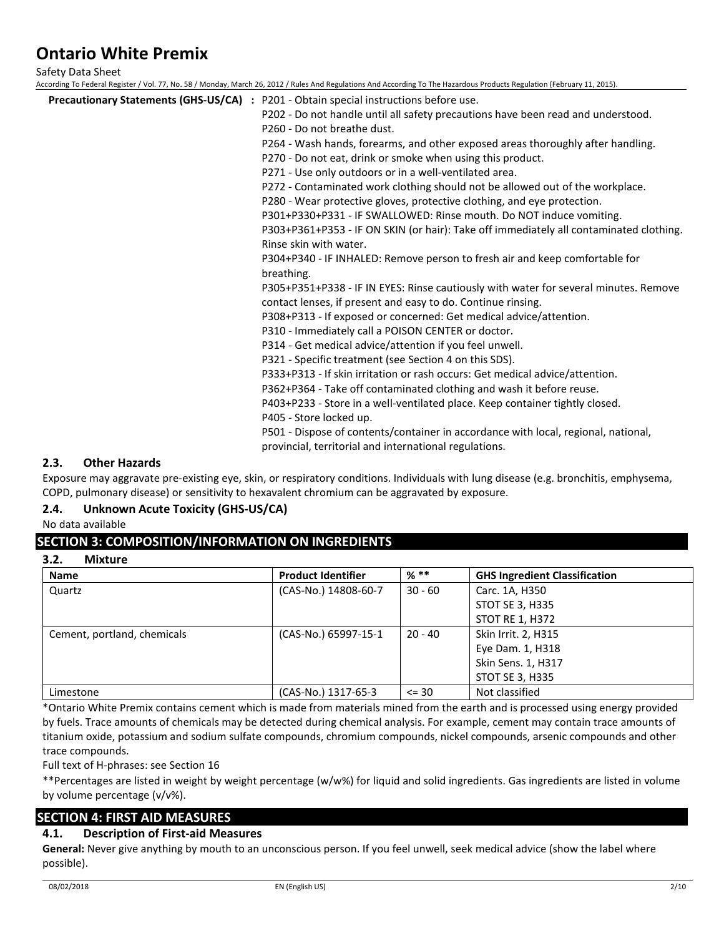Safety Data Sheet

According To Federal Register / Vol. 77, No. 58 / Monday, March 26, 2012 / Rules And Regulations And According To The Hazardous Products Regulation (February 11, 2015).

| <b>Precautionary Statements (GHS-US/CA)</b> : P201 - Obtain special instructions before use. |
|----------------------------------------------------------------------------------------------|
| P202 - Do not handle until all safety precautions have been read and understood.             |
| P260 - Do not breathe dust.                                                                  |
| P264 - Wash hands, forearms, and other exposed areas thoroughly after handling.              |
| P270 - Do not eat, drink or smoke when using this product.                                   |
| P271 - Use only outdoors or in a well-ventilated area.                                       |
| P272 - Contaminated work clothing should not be allowed out of the workplace.                |
| P280 - Wear protective gloves, protective clothing, and eye protection.                      |
| P301+P330+P331 - IF SWALLOWED: Rinse mouth. Do NOT induce vomiting.                          |
| P303+P361+P353 - IF ON SKIN (or hair): Take off immediately all contaminated clothing.       |
| Rinse skin with water.                                                                       |
| P304+P340 - IF INHALED: Remove person to fresh air and keep comfortable for                  |
| breathing.                                                                                   |
| P305+P351+P338 - IF IN EYES: Rinse cautiously with water for several minutes. Remove         |
| contact lenses, if present and easy to do. Continue rinsing.                                 |
| P308+P313 - If exposed or concerned: Get medical advice/attention.                           |
| P310 - Immediately call a POISON CENTER or doctor.                                           |
| P314 - Get medical advice/attention if you feel unwell.                                      |
| P321 - Specific treatment (see Section 4 on this SDS).                                       |
| P333+P313 - If skin irritation or rash occurs: Get medical advice/attention.                 |
| P362+P364 - Take off contaminated clothing and wash it before reuse.                         |
| P403+P233 - Store in a well-ventilated place. Keep container tightly closed.                 |
| P405 - Store locked up.                                                                      |
| P501 - Dispose of contents/container in accordance with local, regional, national,           |
| provincial, territorial and international regulations.                                       |

### **2.3. Other Hazards**

Exposure may aggravate pre-existing eye, skin, or respiratory conditions. Individuals with lung disease (e.g. bronchitis, emphysema, COPD, pulmonary disease) or sensitivity to hexavalent chromium can be aggravated by exposure.

### **2.4. Unknown Acute Toxicity (GHS-US/CA)**

No data available

## **SECTION 3: COMPOSITION/INFORMATION ON INGREDIENTS**

**3.2. Mixture**

| <b>Name</b>                 | <b>Product Identifier</b> | $%$ **    | <b>GHS Ingredient Classification</b> |
|-----------------------------|---------------------------|-----------|--------------------------------------|
| Quartz                      | (CAS-No.) 14808-60-7      | $30 - 60$ | Carc. 1A, H350                       |
|                             |                           |           | STOT SE 3, H335                      |
|                             |                           |           | <b>STOT RE 1, H372</b>               |
| Cement, portland, chemicals | (CAS-No.) 65997-15-1      | $20 - 40$ | Skin Irrit. 2, H315                  |
|                             |                           |           | Eye Dam. 1, H318                     |
|                             |                           |           | Skin Sens. 1, H317                   |
|                             |                           |           | <b>STOT SE 3, H335</b>               |
| Limestone                   | (CAS-No.) 1317-65-3       | $\leq$ 30 | Not classified                       |

\*Ontario White Premix contains cement which is made from materials mined from the earth and is processed using energy provided by fuels. Trace amounts of chemicals may be detected during chemical analysis. For example, cement may contain trace amounts of titanium oxide, potassium and sodium sulfate compounds, chromium compounds, nickel compounds, arsenic compounds and other trace compounds.

Full text of H-phrases: see Section 16

\*\*Percentages are listed in weight by weight percentage (w/w%) for liquid and solid ingredients. Gas ingredients are listed in volume by volume percentage (v/v%).

## **SECTION 4: FIRST AID MEASURES**

### **4.1. Description of First-aid Measures**

**General:** Never give anything by mouth to an unconscious person. If you feel unwell, seek medical advice (show the label where possible).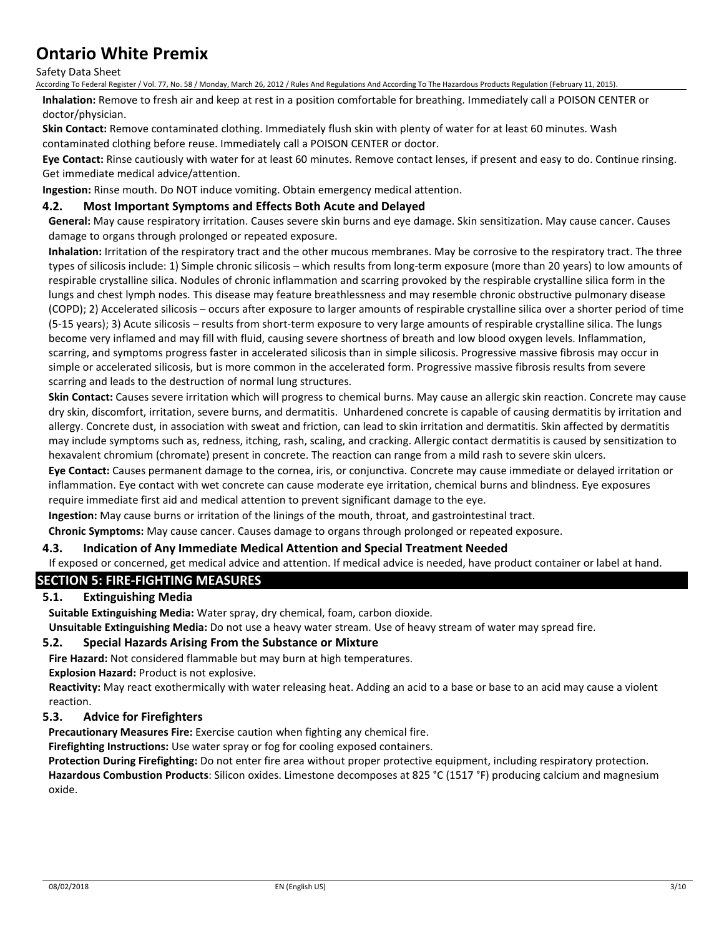Safety Data Sheet

According To Federal Register / Vol. 77, No. 58 / Monday, March 26, 2012 / Rules And Regulations And According To The Hazardous Products Regulation (February 11, 2015).

**Inhalation:** Remove to fresh air and keep at rest in a position comfortable for breathing. Immediately call a POISON CENTER or doctor/physician.

**Skin Contact:** Remove contaminated clothing. Immediately flush skin with plenty of water for at least 60 minutes. Wash contaminated clothing before reuse. Immediately call a POISON CENTER or doctor.

**Eye Contact:** Rinse cautiously with water for at least 60 minutes. Remove contact lenses, if present and easy to do. Continue rinsing. Get immediate medical advice/attention.

**Ingestion:** Rinse mouth. Do NOT induce vomiting. Obtain emergency medical attention.

### **4.2. Most Important Symptoms and Effects Both Acute and Delayed**

**General:** May cause respiratory irritation. Causes severe skin burns and eye damage. Skin sensitization. May cause cancer. Causes damage to organs through prolonged or repeated exposure.

**Inhalation:** Irritation of the respiratory tract and the other mucous membranes. May be corrosive to the respiratory tract. The three types of silicosis include: 1) Simple chronic silicosis – which results from long-term exposure (more than 20 years) to low amounts of respirable crystalline silica. Nodules of chronic inflammation and scarring provoked by the respirable crystalline silica form in the lungs and chest lymph nodes. This disease may feature breathlessness and may resemble chronic obstructive pulmonary disease (COPD); 2) Accelerated silicosis – occurs after exposure to larger amounts of respirable crystalline silica over a shorter period of time (5-15 years); 3) Acute silicosis – results from short-term exposure to very large amounts of respirable crystalline silica. The lungs become very inflamed and may fill with fluid, causing severe shortness of breath and low blood oxygen levels. Inflammation, scarring, and symptoms progress faster in accelerated silicosis than in simple silicosis. Progressive massive fibrosis may occur in simple or accelerated silicosis, but is more common in the accelerated form. Progressive massive fibrosis results from severe scarring and leads to the destruction of normal lung structures.

**Skin Contact:** Causes severe irritation which will progress to chemical burns. May cause an allergic skin reaction. Concrete may cause dry skin, discomfort, irritation, severe burns, and dermatitis. Unhardened concrete is capable of causing dermatitis by irritation and allergy. Concrete dust, in association with sweat and friction, can lead to skin irritation and dermatitis. Skin affected by dermatitis may include symptoms such as, redness, itching, rash, scaling, and cracking. Allergic contact dermatitis is caused by sensitization to hexavalent chromium (chromate) present in concrete. The reaction can range from a mild rash to severe skin ulcers.

**Eye Contact:** Causes permanent damage to the cornea, iris, or conjunctiva. Concrete may cause immediate or delayed irritation or inflammation. Eye contact with wet concrete can cause moderate eye irritation, chemical burns and blindness. Eye exposures require immediate first aid and medical attention to prevent significant damage to the eye.

**Ingestion:** May cause burns or irritation of the linings of the mouth, throat, and gastrointestinal tract.

**Chronic Symptoms:** May cause cancer. Causes damage to organs through prolonged or repeated exposure.

### **4.3. Indication of Any Immediate Medical Attention and Special Treatment Needed**

If exposed or concerned, get medical advice and attention. If medical advice is needed, have product container or label at hand.

## **SECTION 5: FIRE-FIGHTING MEASURES**

## **5.1. Extinguishing Media**

**Suitable Extinguishing Media:** Water spray, dry chemical, foam, carbon dioxide.

**Unsuitable Extinguishing Media:** Do not use a heavy water stream. Use of heavy stream of water may spread fire.

#### **5.2. Special Hazards Arising From the Substance or Mixture**

**Fire Hazard:** Not considered flammable but may burn at high temperatures.

**Explosion Hazard:** Product is not explosive.

**Reactivity:** May react exothermically with water releasing heat. Adding an acid to a base or base to an acid may cause a violent reaction.

### **5.3. Advice for Firefighters**

**Precautionary Measures Fire:** Exercise caution when fighting any chemical fire.

**Firefighting Instructions:** Use water spray or fog for cooling exposed containers.

**Protection During Firefighting:** Do not enter fire area without proper protective equipment, including respiratory protection. **Hazardous Combustion Products**: Silicon oxides. Limestone decomposes at 825 °C (1517 °F) producing calcium and magnesium oxide.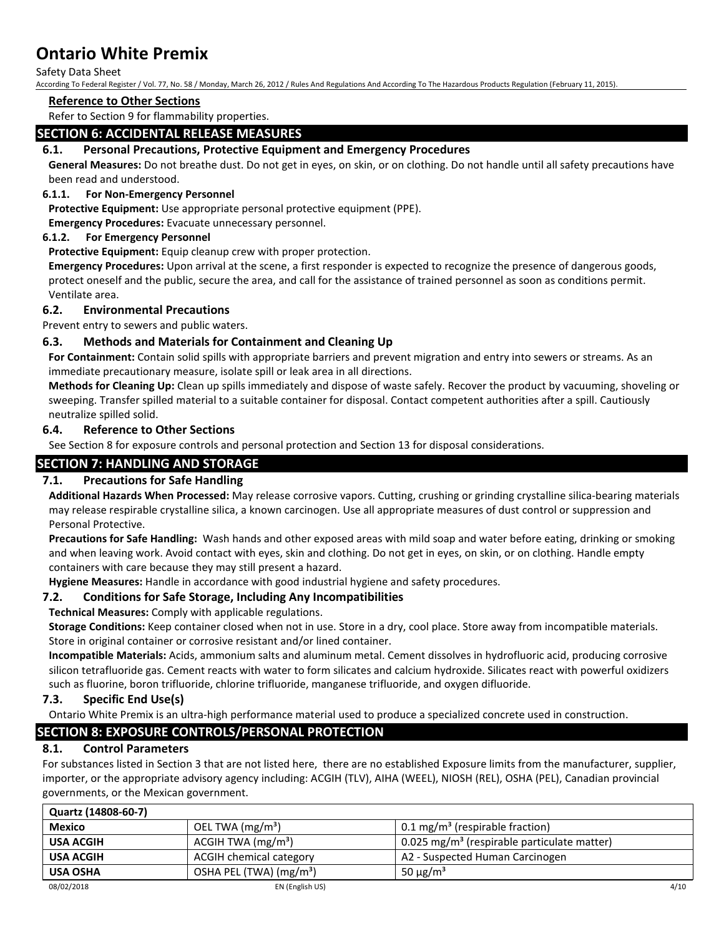Safety Data Sheet

According To Federal Register / Vol. 77, No. 58 / Monday, March 26, 2012 / Rules And Regulations And According To The Hazardous Products Regulation (February 11, 2015).

#### **Reference to Other Sections**

Refer to Section 9 for flammability properties.

## **SECTION 6: ACCIDENTAL RELEASE MEASURES**

## **6.1. Personal Precautions, Protective Equipment and Emergency Procedures**

**General Measures:** Do not breathe dust. Do not get in eyes, on skin, or on clothing. Do not handle until all safety precautions have been read and understood.

### **6.1.1. For Non-Emergency Personnel**

**Protective Equipment:** Use appropriate personal protective equipment (PPE).

**Emergency Procedures:** Evacuate unnecessary personnel.

### **6.1.2. For Emergency Personnel**

**Protective Equipment:** Equip cleanup crew with proper protection.

**Emergency Procedures:** Upon arrival at the scene, a first responder is expected to recognize the presence of dangerous goods, protect oneself and the public, secure the area, and call for the assistance of trained personnel as soon as conditions permit. Ventilate area.

### **6.2. Environmental Precautions**

Prevent entry to sewers and public waters.

## **6.3. Methods and Materials for Containment and Cleaning Up**

**For Containment:** Contain solid spills with appropriate barriers and prevent migration and entry into sewers or streams. As an immediate precautionary measure, isolate spill or leak area in all directions.

**Methods for Cleaning Up:** Clean up spills immediately and dispose of waste safely. Recover the product by vacuuming, shoveling or sweeping. Transfer spilled material to a suitable container for disposal. Contact competent authorities after a spill. Cautiously neutralize spilled solid.

### **6.4. Reference to Other Sections**

See Section 8 for exposure controls and personal protection and Section 13 for disposal considerations.

## **SECTION 7: HANDLING AND STORAGE**

### **7.1. Precautions for Safe Handling**

**Additional Hazards When Processed:** May release corrosive vapors. Cutting, crushing or grinding crystalline silica-bearing materials may release respirable crystalline silica, a known carcinogen. Use all appropriate measures of dust control or suppression and Personal Protective.

**Precautions for Safe Handling:** Wash hands and other exposed areas with mild soap and water before eating, drinking or smoking and when leaving work. Avoid contact with eyes, skin and clothing. Do not get in eyes, on skin, or on clothing. Handle empty containers with care because they may still present a hazard.

**Hygiene Measures:** Handle in accordance with good industrial hygiene and safety procedures.

### **7.2. Conditions for Safe Storage, Including Any Incompatibilities**

**Technical Measures:** Comply with applicable regulations.

**Storage Conditions:** Keep container closed when not in use. Store in a dry, cool place. Store away from incompatible materials. Store in original container or corrosive resistant and/or lined container.

**Incompatible Materials:** Acids, ammonium salts and aluminum metal. Cement dissolves in hydrofluoric acid, producing corrosive silicon tetrafluoride gas. Cement reacts with water to form silicates and calcium hydroxide. Silicates react with powerful oxidizers such as fluorine, boron trifluoride, chlorine trifluoride, manganese trifluoride, and oxygen difluoride.

### **7.3. Specific End Use(s)**

Ontario White Premix is an ultra-high performance material used to produce a specialized concrete used in construction.

## **SECTION 8: EXPOSURE CONTROLS/PERSONAL PROTECTION**

## **8.1. Control Parameters**

For substances listed in Section 3 that are not listed here, there are no established Exposure limits from the manufacturer, supplier, importer, or the appropriate advisory agency including: ACGIH (TLV), AIHA (WEEL), NIOSH (REL), OSHA (PEL), Canadian provincial governments, or the Mexican government.

| Quartz (14808-60-7) |                                     |                                                         |      |
|---------------------|-------------------------------------|---------------------------------------------------------|------|
| <b>Mexico</b>       | OEL TWA $(mg/m3)$                   | $0.1 \,\mathrm{mg/m^3}$ (respirable fraction)           |      |
| <b>USA ACGIH</b>    | ACGIH TWA $(mg/m3)$                 | 0.025 mg/m <sup>3</sup> (respirable particulate matter) |      |
| <b>USA ACGIH</b>    | ACGIH chemical category             | A2 - Suspected Human Carcinogen                         |      |
| <b>USA OSHA</b>     | OSHA PEL (TWA) (mg/m <sup>3</sup> ) | 50 $\mu$ g/m <sup>3</sup>                               |      |
| 08/02/2018          | EN (English US)                     |                                                         | 4/10 |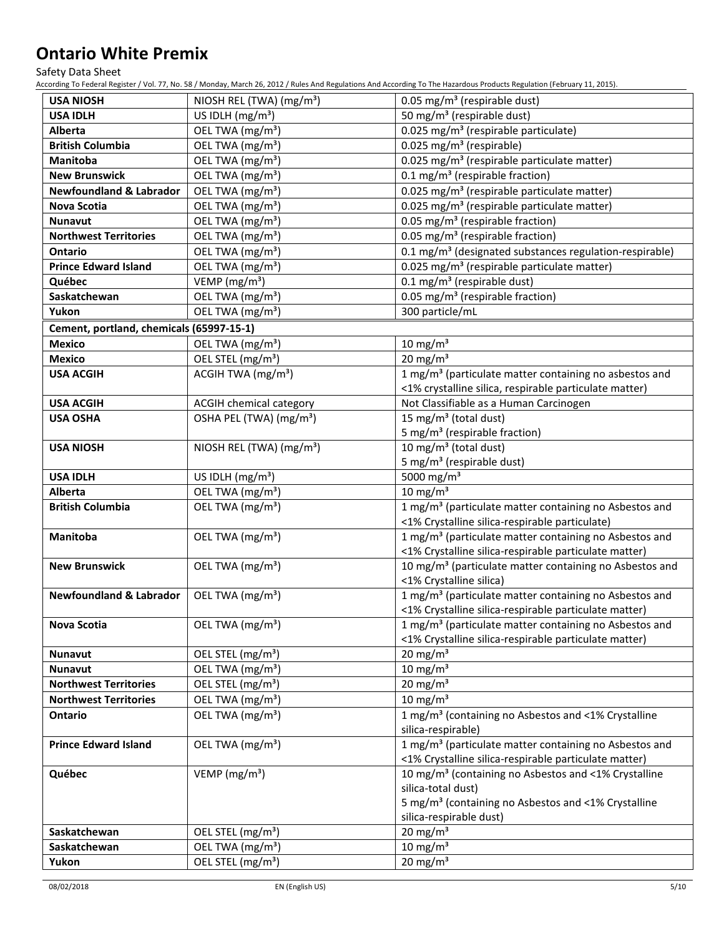Safety Data Sheet

According To Federal Register / Vol. 77, No. 58 / Monday, March 26, 2012 / Rules And Regulations And According To The Hazardous Products Regulation (February 11, 2015).

| <b>USA NIOSH</b>                         | NIOSH REL (TWA) (mg/m <sup>3</sup> ) | 0.05 mg/m <sup>3</sup> (respirable dust)                                                      |
|------------------------------------------|--------------------------------------|-----------------------------------------------------------------------------------------------|
| <b>USA IDLH</b>                          | US IDLH $(mg/m3)$                    | 50 mg/m <sup>3</sup> (respirable dust)                                                        |
| Alberta                                  | OEL TWA (mg/m <sup>3</sup> )         | 0.025 mg/m <sup>3</sup> (respirable particulate)                                              |
| <b>British Columbia</b>                  | OEL TWA (mg/m <sup>3</sup> )         | 0.025 mg/m <sup>3</sup> (respirable)                                                          |
| Manitoba                                 | OEL TWA (mg/m <sup>3</sup> )         | 0.025 mg/m <sup>3</sup> (respirable particulate matter)                                       |
| <b>New Brunswick</b>                     | OEL TWA (mg/m <sup>3</sup> )         | 0.1 mg/m <sup>3</sup> (respirable fraction)                                                   |
| <b>Newfoundland &amp; Labrador</b>       | OEL TWA (mg/m <sup>3</sup> )         | 0.025 mg/m <sup>3</sup> (respirable particulate matter)                                       |
| Nova Scotia                              | OEL TWA (mg/m <sup>3</sup> )         | 0.025 mg/m <sup>3</sup> (respirable particulate matter)                                       |
| <b>Nunavut</b>                           | OEL TWA (mg/m <sup>3</sup> )         | 0.05 mg/m <sup>3</sup> (respirable fraction)                                                  |
| <b>Northwest Territories</b>             | OEL TWA (mg/m <sup>3</sup> )         | 0.05 mg/m <sup>3</sup> (respirable fraction)                                                  |
| Ontario                                  | OEL TWA (mg/m <sup>3</sup> )         | 0.1 mg/m <sup>3</sup> (designated substances regulation-respirable)                           |
| <b>Prince Edward Island</b>              | OEL TWA (mg/m <sup>3</sup> )         | 0.025 mg/m <sup>3</sup> (respirable particulate matter)                                       |
| Québec                                   | VEMP (mg/m <sup>3</sup> )            | $0.1 \text{ mg/m}^3$ (respirable dust)                                                        |
| Saskatchewan                             | OEL TWA (mg/m <sup>3</sup> )         | 0.05 mg/m <sup>3</sup> (respirable fraction)                                                  |
| Yukon                                    | OEL TWA (mg/m <sup>3</sup> )         | 300 particle/mL                                                                               |
| Cement, portland, chemicals (65997-15-1) |                                      |                                                                                               |
| <b>Mexico</b>                            | OEL TWA (mg/m <sup>3</sup> )         | 10 mg/m $3$                                                                                   |
| <b>Mexico</b>                            | OEL STEL (mg/m <sup>3</sup> )        | 20 mg/m $3$                                                                                   |
| <b>USA ACGIH</b>                         | ACGIH TWA (mg/m <sup>3</sup> )       | 1 mg/m <sup>3</sup> (particulate matter containing no asbestos and                            |
|                                          |                                      | <1% crystalline silica, respirable particulate matter)                                        |
| <b>USA ACGIH</b>                         | <b>ACGIH chemical category</b>       | Not Classifiable as a Human Carcinogen                                                        |
| <b>USA OSHA</b>                          | OSHA PEL (TWA) (mg/m <sup>3</sup> )  | 15 mg/m <sup>3</sup> (total dust)                                                             |
|                                          |                                      | 5 mg/m <sup>3</sup> (respirable fraction)                                                     |
| <b>USA NIOSH</b>                         | NIOSH REL (TWA) (mg/m <sup>3</sup> ) | 10 mg/m <sup>3</sup> (total dust)                                                             |
|                                          |                                      | 5 mg/m <sup>3</sup> (respirable dust)                                                         |
| <b>USA IDLH</b>                          | US IDLH $(mg/m3)$                    | 5000 mg/m <sup>3</sup>                                                                        |
| Alberta                                  | OEL TWA (mg/m <sup>3</sup> )         | 10 mg/m $3$                                                                                   |
| <b>British Columbia</b>                  | OEL TWA (mg/m <sup>3</sup> )         | 1 mg/m <sup>3</sup> (particulate matter containing no Asbestos and                            |
|                                          |                                      | <1% Crystalline silica-respirable particulate)                                                |
| Manitoba                                 | OEL TWA (mg/m <sup>3</sup> )         | 1 mg/m <sup>3</sup> (particulate matter containing no Asbestos and                            |
|                                          |                                      | <1% Crystalline silica-respirable particulate matter)                                         |
| <b>New Brunswick</b>                     | OEL TWA (mg/m <sup>3</sup> )         | 10 mg/m <sup>3</sup> (particulate matter containing no Asbestos and                           |
|                                          | OEL TWA (mg/m <sup>3</sup> )         | <1% Crystalline silica)<br>1 mg/m <sup>3</sup> (particulate matter containing no Asbestos and |
| <b>Newfoundland &amp; Labrador</b>       |                                      | <1% Crystalline silica-respirable particulate matter)                                         |
| <b>Nova Scotia</b>                       | OEL TWA (mg/m <sup>3</sup> )         | 1 mg/m <sup>3</sup> (particulate matter containing no Asbestos and                            |
|                                          |                                      | <1% Crystalline silica-respirable particulate matter)                                         |
| <b>Nunavut</b>                           | OEL STEL (mg/m <sup>3</sup> )        | $20 \text{ mg/m}^3$                                                                           |
| <b>Nunavut</b>                           | OEL TWA (mg/m <sup>3</sup> )         | $10 \text{ mg/m}^3$                                                                           |
| <b>Northwest Territories</b>             | OEL STEL (mg/m <sup>3</sup> )        | $20 \text{ mg/m}^3$                                                                           |
| <b>Northwest Territories</b>             | OEL TWA (mg/m <sup>3</sup> )         | $10 \text{ mg/m}^3$                                                                           |
| Ontario                                  | OEL TWA (mg/m <sup>3</sup> )         | 1 mg/m <sup>3</sup> (containing no Asbestos and <1% Crystalline                               |
|                                          |                                      | silica-respirable)                                                                            |
| <b>Prince Edward Island</b>              | OEL TWA (mg/m <sup>3</sup> )         | 1 mg/m <sup>3</sup> (particulate matter containing no Asbestos and                            |
|                                          |                                      | <1% Crystalline silica-respirable particulate matter)                                         |
| Québec                                   | VEMP ( $mg/m3$ )                     | 10 mg/m <sup>3</sup> (containing no Asbestos and <1% Crystalline                              |
|                                          |                                      | silica-total dust)                                                                            |
|                                          |                                      | 5 mg/m <sup>3</sup> (containing no Asbestos and <1% Crystalline                               |
|                                          |                                      | silica-respirable dust)                                                                       |
| Saskatchewan                             | OEL STEL (mg/m <sup>3</sup> )        | $20 \text{ mg/m}^3$                                                                           |
| Saskatchewan                             | OEL TWA (mg/m <sup>3</sup> )         | $10 \text{ mg/m}^3$                                                                           |
| Yukon                                    | OEL STEL (mg/m <sup>3</sup> )        | $20 \text{ mg/m}^3$                                                                           |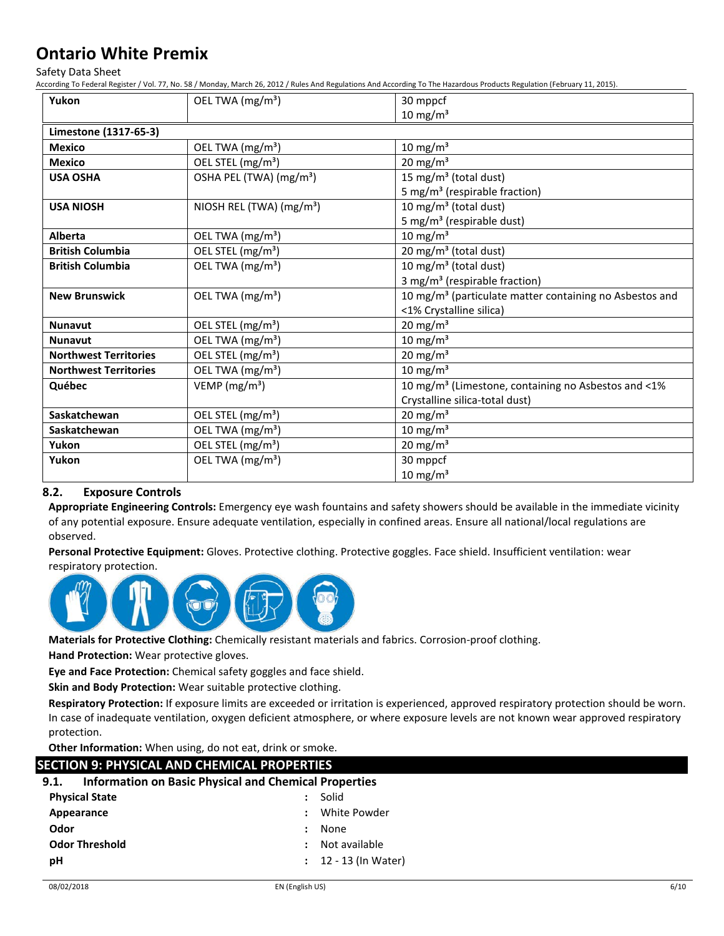Safety Data Sheet

According To Federal Register / Vol. 77, No. 58 / Monday, March 26, 2012 / Rules And Regulations And According To The Hazardous Products Regulation (February 11, 2015).

| Yukon                        | OEL TWA (mg/m <sup>3</sup> )         | 30 mppcf                                                            |
|------------------------------|--------------------------------------|---------------------------------------------------------------------|
|                              |                                      | 10 mg/m $3$                                                         |
| Limestone (1317-65-3)        |                                      |                                                                     |
| <b>Mexico</b>                | OEL TWA (mg/m <sup>3</sup> )         | $10 \text{ mg/m}^3$                                                 |
| <b>Mexico</b>                | OEL STEL (mg/m <sup>3</sup> )        | 20 mg/m $3$                                                         |
| <b>USA OSHA</b>              | OSHA PEL (TWA) (mg/m <sup>3</sup> )  | 15 mg/m <sup>3</sup> (total dust)                                   |
|                              |                                      | 5 mg/m <sup>3</sup> (respirable fraction)                           |
| <b>USA NIOSH</b>             | NIOSH REL (TWA) (mg/m <sup>3</sup> ) | 10 mg/m <sup>3</sup> (total dust)                                   |
|                              |                                      | 5 mg/m <sup>3</sup> (respirable dust)                               |
| Alberta                      | OEL TWA (mg/m <sup>3</sup> )         | $10 \text{ mg/m}^3$                                                 |
| <b>British Columbia</b>      | OEL STEL (mg/m <sup>3</sup> )        | 20 mg/m <sup>3</sup> (total dust)                                   |
| <b>British Columbia</b>      | OEL TWA (mg/m <sup>3</sup> )         | 10 mg/m <sup>3</sup> (total dust)                                   |
|                              |                                      | 3 mg/m <sup>3</sup> (respirable fraction)                           |
| <b>New Brunswick</b>         | OEL TWA (mg/m <sup>3</sup> )         | 10 mg/m <sup>3</sup> (particulate matter containing no Asbestos and |
|                              |                                      | <1% Crystalline silica)                                             |
| <b>Nunavut</b>               | OEL STEL (mg/m <sup>3</sup> )        | $20 \text{ mg/m}^3$                                                 |
| <b>Nunavut</b>               | OEL TWA (mg/m <sup>3</sup> )         | $10 \text{ mg/m}^3$                                                 |
| <b>Northwest Territories</b> | OEL STEL (mg/m <sup>3</sup> )        | $20 \text{ mg/m}^3$                                                 |
| <b>Northwest Territories</b> | OEL TWA (mg/m <sup>3</sup> )         | 10 mg/m $3$                                                         |
| Québec                       | VEMP ( $mg/m3$ )                     | 10 mg/m <sup>3</sup> (Limestone, containing no Asbestos and <1%     |
|                              |                                      | Crystalline silica-total dust)                                      |
| Saskatchewan                 | OEL STEL (mg/m <sup>3</sup> )        | 20 mg/m $3$                                                         |
| Saskatchewan                 | OEL TWA (mg/m <sup>3</sup> )         | $10 \text{ mg/m}^3$                                                 |
| Yukon                        | OEL STEL (mg/m <sup>3</sup> )        | $20 \text{ mg/m}^3$                                                 |
| Yukon                        | OEL TWA (mg/m <sup>3</sup> )         | 30 mppcf                                                            |
|                              |                                      | $10 \text{ mg/m}^3$                                                 |

### **8.2. Exposure Controls**

**Appropriate Engineering Controls:** Emergency eye wash fountains and safety showers should be available in the immediate vicinity of any potential exposure. Ensure adequate ventilation, especially in confined areas. Ensure all national/local regulations are observed.

**Personal Protective Equipment:** Gloves. Protective clothing. Protective goggles. Face shield. Insufficient ventilation: wear respiratory protection.



**Materials for Protective Clothing:** Chemically resistant materials and fabrics. Corrosion-proof clothing.

**Hand Protection:** Wear protective gloves.

**Eye and Face Protection:** Chemical safety goggles and face shield.

**Skin and Body Protection:** Wear suitable protective clothing.

**Respiratory Protection:** If exposure limits are exceeded or irritation is experienced, approved respiratory protection should be worn. In case of inadequate ventilation, oxygen deficient atmosphere, or where exposure levels are not known wear approved respiratory protection.

**Other Information:** When using, do not eat, drink or smoke.

| SECTION 9: PHYSICAL AND CHEMICAL PROPERTIES                          |                        |  |  |  |
|----------------------------------------------------------------------|------------------------|--|--|--|
| <b>Information on Basic Physical and Chemical Properties</b><br>9.1. |                        |  |  |  |
| <b>Physical State</b>                                                | Solid                  |  |  |  |
| Appearance                                                           | White Powder           |  |  |  |
| Odor                                                                 | None                   |  |  |  |
| <b>Odor Threshold</b>                                                | Not available          |  |  |  |
| рH                                                                   | $: 12 - 13$ (In Water) |  |  |  |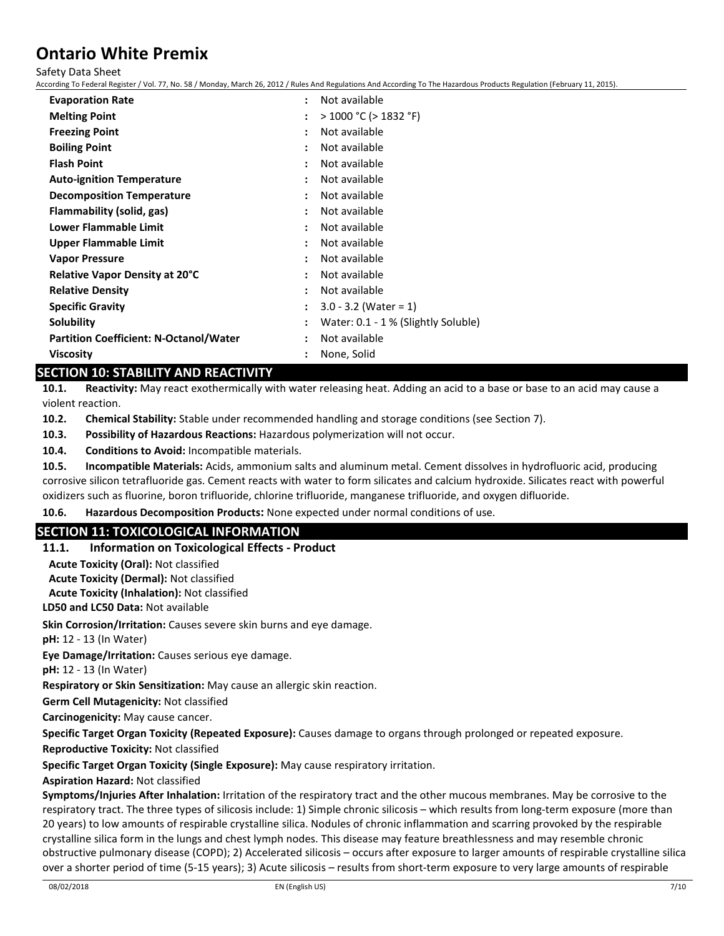Safety Data Sheet

According To Federal Register / Vol. 77, No. 58 / Monday, March 26, 2012 / Rules And Regulations And According To The Hazardous Products Regulation (February 11, 2015).

| <b>Evaporation Rate</b>                       | Not available                                   |
|-----------------------------------------------|-------------------------------------------------|
| <b>Melting Point</b>                          | $>$ 1000 °C ( $>$ 1832 °F)                      |
| <b>Freezing Point</b>                         | Not available                                   |
| <b>Boiling Point</b>                          | Not available                                   |
| <b>Flash Point</b>                            | Not available                                   |
| <b>Auto-ignition Temperature</b>              | Not available                                   |
| <b>Decomposition Temperature</b>              | Not available                                   |
| Flammability (solid, gas)                     | Not available                                   |
| Lower Flammable Limit                         | Not available                                   |
| <b>Upper Flammable Limit</b>                  | Not available                                   |
| <b>Vapor Pressure</b>                         | Not available                                   |
| <b>Relative Vapor Density at 20°C</b>         | Not available                                   |
| <b>Relative Density</b>                       | Not available                                   |
| <b>Specific Gravity</b>                       | $3.0 - 3.2$ (Water = 1)<br>$\ddot{\phantom{a}}$ |
| Solubility                                    | Water: 0.1 - 1 % (Slightly Soluble)             |
| <b>Partition Coefficient: N-Octanol/Water</b> | Not available                                   |
| <b>Viscosity</b>                              | None, Solid                                     |

## **SECTION 10: STABILITY AND REACTIVITY**

**10.1. Reactivity:** May react exothermically with water releasing heat. Adding an acid to a base or base to an acid may cause a violent reaction.

**10.2. Chemical Stability:** Stable under recommended handling and storage conditions (see Section 7).

**10.3. Possibility of Hazardous Reactions:** Hazardous polymerization will not occur.

**10.4. Conditions to Avoid:** Incompatible materials.

**10.5. Incompatible Materials:** Acids, ammonium salts and aluminum metal. Cement dissolves in hydrofluoric acid, producing corrosive silicon tetrafluoride gas. Cement reacts with water to form silicates and calcium hydroxide. Silicates react with powerful oxidizers such as fluorine, boron trifluoride, chlorine trifluoride, manganese trifluoride, and oxygen difluoride.

**10.6. Hazardous Decomposition Products:** None expected under normal conditions of use.

## **SECTION 11: TOXICOLOGICAL INFORMATION**

## **11.1. Information on Toxicological Effects - Product**

**Acute Toxicity (Oral):** Not classified

**Acute Toxicity (Dermal):** Not classified

**Acute Toxicity (Inhalation):** Not classified

**LD50 and LC50 Data:** Not available

**Skin Corrosion/Irritation:** Causes severe skin burns and eye damage.

**pH:** 12 - 13 (In Water)

**Eye Damage/Irritation:** Causes serious eye damage.

**pH:** 12 - 13 (In Water)

**Respiratory or Skin Sensitization:** May cause an allergic skin reaction.

**Germ Cell Mutagenicity:** Not classified

**Carcinogenicity:** May cause cancer.

**Specific Target Organ Toxicity (Repeated Exposure):** Causes damage to organs through prolonged or repeated exposure.

**Reproductive Toxicity:** Not classified

**Specific Target Organ Toxicity (Single Exposure):** May cause respiratory irritation.

### **Aspiration Hazard:** Not classified

**Symptoms/Injuries After Inhalation:** Irritation of the respiratory tract and the other mucous membranes. May be corrosive to the respiratory tract. The three types of silicosis include: 1) Simple chronic silicosis – which results from long-term exposure (more than 20 years) to low amounts of respirable crystalline silica. Nodules of chronic inflammation and scarring provoked by the respirable crystalline silica form in the lungs and chest lymph nodes. This disease may feature breathlessness and may resemble chronic obstructive pulmonary disease (COPD); 2) Accelerated silicosis – occurs after exposure to larger amounts of respirable crystalline silica over a shorter period of time (5-15 years); 3) Acute silicosis – results from short-term exposure to very large amounts of respirable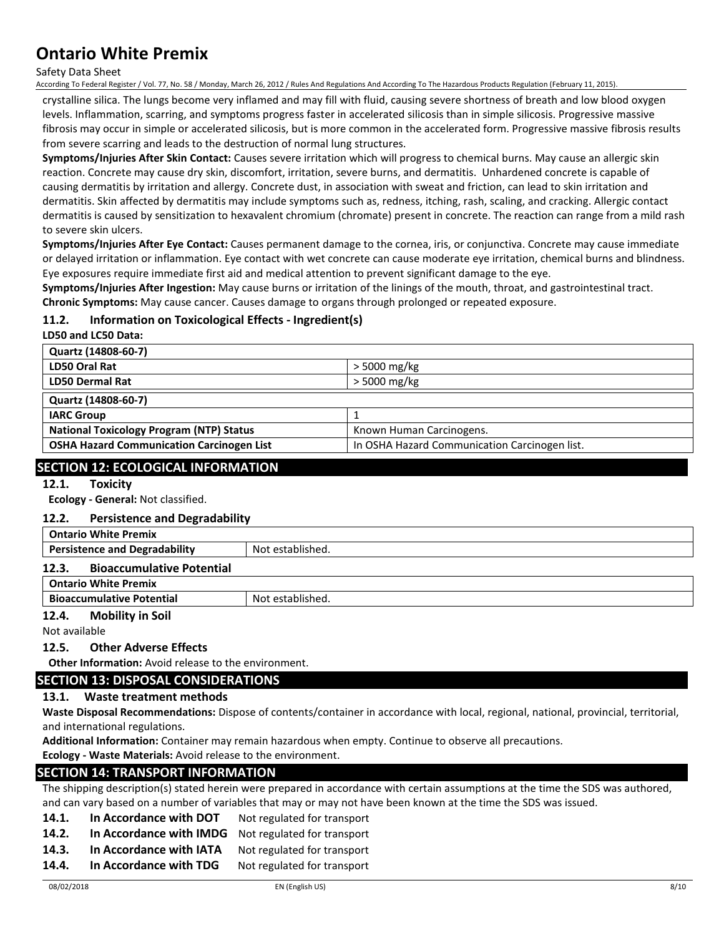#### Safety Data Sheet

According To Federal Register / Vol. 77, No. 58 / Monday, March 26, 2012 / Rules And Regulations And According To The Hazardous Products Regulation (February 11, 2015).

crystalline silica. The lungs become very inflamed and may fill with fluid, causing severe shortness of breath and low blood oxygen levels. Inflammation, scarring, and symptoms progress faster in accelerated silicosis than in simple silicosis. Progressive massive fibrosis may occur in simple or accelerated silicosis, but is more common in the accelerated form. Progressive massive fibrosis results from severe scarring and leads to the destruction of normal lung structures.

**Symptoms/Injuries After Skin Contact:** Causes severe irritation which will progress to chemical burns. May cause an allergic skin reaction. Concrete may cause dry skin, discomfort, irritation, severe burns, and dermatitis. Unhardened concrete is capable of causing dermatitis by irritation and allergy. Concrete dust, in association with sweat and friction, can lead to skin irritation and dermatitis. Skin affected by dermatitis may include symptoms such as, redness, itching, rash, scaling, and cracking. Allergic contact dermatitis is caused by sensitization to hexavalent chromium (chromate) present in concrete. The reaction can range from a mild rash to severe skin ulcers.

**Symptoms/Injuries After Eye Contact:** Causes permanent damage to the cornea, iris, or conjunctiva. Concrete may cause immediate or delayed irritation or inflammation. Eye contact with wet concrete can cause moderate eye irritation, chemical burns and blindness. Eye exposures require immediate first aid and medical attention to prevent significant damage to the eye.

**Symptoms/Injuries After Ingestion:** May cause burns or irritation of the linings of the mouth, throat, and gastrointestinal tract. **Chronic Symptoms:** May cause cancer. Causes damage to organs through prolonged or repeated exposure.

## **11.2. Information on Toxicological Effects - Ingredient(s)**

**LD50 and LC50 Data:**

| Quartz (14808-60-7)                              |                                               |
|--------------------------------------------------|-----------------------------------------------|
| LD50 Oral Rat                                    | > 5000 mg/kg                                  |
| <b>LD50 Dermal Rat</b>                           | > 5000 mg/kg                                  |
| Quartz (14808-60-7)                              |                                               |
| <b>IARC Group</b>                                |                                               |
| <b>National Toxicology Program (NTP) Status</b>  | Known Human Carcinogens.                      |
| <b>OSHA Hazard Communication Carcinogen List</b> | In OSHA Hazard Communication Carcinogen list. |

## **SECTION 12: ECOLOGICAL INFORMATION**

**12.1. Toxicity**

**Ecology - General:** Not classified.

### **12.2. Persistence and Degradability**

| <b>Ontario White Premix</b>               |                  |
|-------------------------------------------|------------------|
| <b>Persistence and Degradability</b>      | Not established. |
| <b>Bioaccumulative Potential</b><br>12.3. |                  |
| <b>Ontario White Premix</b>               |                  |
| <b>Bioaccumulative Potential</b>          | Not established. |

### **12.4. Mobility in Soil**

Not available

### **12.5. Other Adverse Effects**

**Other Information:** Avoid release to the environment.

## **SECTION 13: DISPOSAL CONSIDERATIONS**

## **13.1. Waste treatment methods**

**Waste Disposal Recommendations:** Dispose of contents/container in accordance with local, regional, national, provincial, territorial, and international regulations.

**Additional Information:** Container may remain hazardous when empty. Continue to observe all precautions.

**Ecology - Waste Materials:** Avoid release to the environment.

## **SECTION 14: TRANSPORT INFORMATION**

The shipping description(s) stated herein were prepared in accordance with certain assumptions at the time the SDS was authored, and can vary based on a number of variables that may or may not have been known at the time the SDS was issued.

- 14.1. **In Accordance with DOT** Not regulated for transport
- **14.2. In Accordance with IMDG** Not regulated for transport
- 14.3. In Accordance with IATA Not regulated for transport
- 14.4. In Accordance with TDG Not regulated for transport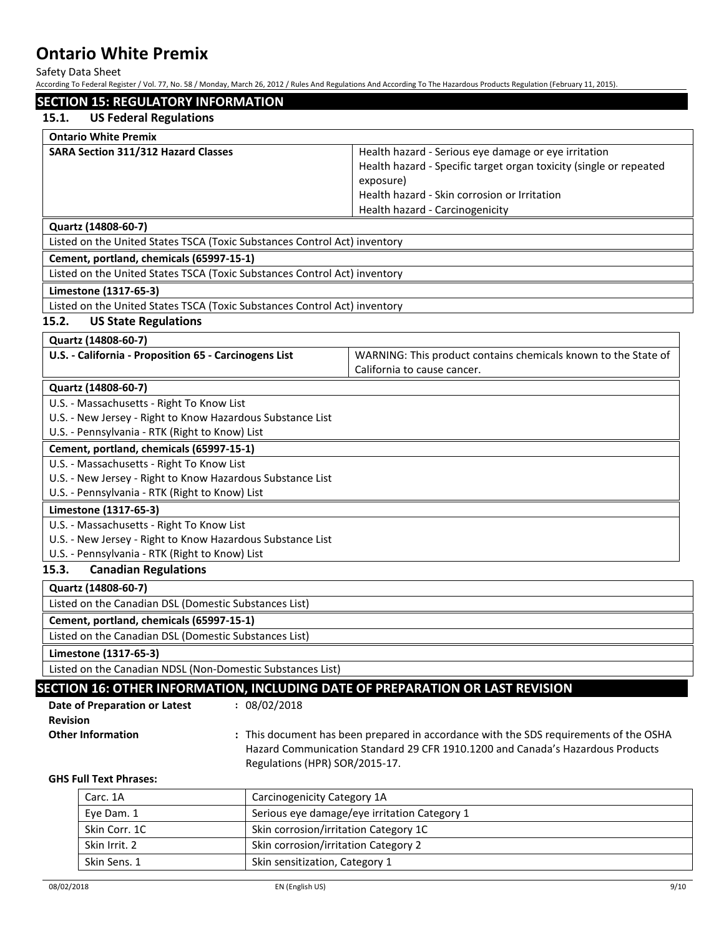Safety Data Sheet

According To Federal Register / Vol. 77, No. 58 / Monday, March 26, 2012 / Rules And Regulations And According To The Hazardous Products Regulation (February 11, 2015).

|                 |                                                                                                         |                                | According To Federal Register / Vol. 77, No. 58 / Monday, March 26, 2012 / Rules And Regulations And According To The Hazardous Products Regulation (February 11, 2015).                                                   |
|-----------------|---------------------------------------------------------------------------------------------------------|--------------------------------|----------------------------------------------------------------------------------------------------------------------------------------------------------------------------------------------------------------------------|
|                 | <b>SECTION 15: REGULATORY INFORMATION</b>                                                               |                                |                                                                                                                                                                                                                            |
| 15.1.           | <b>US Federal Regulations</b>                                                                           |                                |                                                                                                                                                                                                                            |
|                 | <b>Ontario White Premix</b>                                                                             |                                |                                                                                                                                                                                                                            |
|                 | SARA Section 311/312 Hazard Classes                                                                     |                                | Health hazard - Serious eye damage or eye irritation<br>Health hazard - Specific target organ toxicity (single or repeated<br>exposure)<br>Health hazard - Skin corrosion or Irritation<br>Health hazard - Carcinogenicity |
|                 | Quartz (14808-60-7)                                                                                     |                                |                                                                                                                                                                                                                            |
|                 | Listed on the United States TSCA (Toxic Substances Control Act) inventory                               |                                |                                                                                                                                                                                                                            |
|                 | Cement, portland, chemicals (65997-15-1)                                                                |                                |                                                                                                                                                                                                                            |
|                 | Listed on the United States TSCA (Toxic Substances Control Act) inventory                               |                                |                                                                                                                                                                                                                            |
|                 | Limestone (1317-65-3)                                                                                   |                                |                                                                                                                                                                                                                            |
|                 | Listed on the United States TSCA (Toxic Substances Control Act) inventory                               |                                |                                                                                                                                                                                                                            |
| 15.2.           | <b>US State Regulations</b>                                                                             |                                |                                                                                                                                                                                                                            |
|                 | Quartz (14808-60-7)                                                                                     |                                |                                                                                                                                                                                                                            |
|                 | U.S. - California - Proposition 65 - Carcinogens List                                                   |                                | WARNING: This product contains chemicals known to the State of<br>California to cause cancer.                                                                                                                              |
|                 | Quartz (14808-60-7)                                                                                     |                                |                                                                                                                                                                                                                            |
|                 | U.S. - Massachusetts - Right To Know List                                                               |                                |                                                                                                                                                                                                                            |
|                 | U.S. - New Jersey - Right to Know Hazardous Substance List                                              |                                |                                                                                                                                                                                                                            |
|                 | U.S. - Pennsylvania - RTK (Right to Know) List                                                          |                                |                                                                                                                                                                                                                            |
|                 | Cement, portland, chemicals (65997-15-1)                                                                |                                |                                                                                                                                                                                                                            |
|                 | U.S. - Massachusetts - Right To Know List<br>U.S. - New Jersey - Right to Know Hazardous Substance List |                                |                                                                                                                                                                                                                            |
|                 | U.S. - Pennsylvania - RTK (Right to Know) List                                                          |                                |                                                                                                                                                                                                                            |
|                 | Limestone (1317-65-3)                                                                                   |                                |                                                                                                                                                                                                                            |
|                 | U.S. - Massachusetts - Right To Know List                                                               |                                |                                                                                                                                                                                                                            |
|                 | U.S. - New Jersey - Right to Know Hazardous Substance List                                              |                                |                                                                                                                                                                                                                            |
|                 | U.S. - Pennsylvania - RTK (Right to Know) List                                                          |                                |                                                                                                                                                                                                                            |
| 15.3.           | <b>Canadian Regulations</b>                                                                             |                                |                                                                                                                                                                                                                            |
|                 | Quartz (14808-60-7)                                                                                     |                                |                                                                                                                                                                                                                            |
|                 | Listed on the Canadian DSL (Domestic Substances List)                                                   |                                |                                                                                                                                                                                                                            |
|                 | Cement, portland, chemicals (65997-15-1)                                                                |                                |                                                                                                                                                                                                                            |
|                 | Listed on the Canadian DSL (Domestic Substances List)                                                   |                                |                                                                                                                                                                                                                            |
|                 | Limestone (1317-65-3)                                                                                   |                                |                                                                                                                                                                                                                            |
|                 | Listed on the Canadian NDSL (Non-Domestic Substances List)                                              |                                |                                                                                                                                                                                                                            |
|                 |                                                                                                         |                                | SECTION 16: OTHER INFORMATION, INCLUDING DATE OF PREPARATION OR LAST REVISION                                                                                                                                              |
|                 | Date of Preparation or Latest                                                                           | : 08/02/2018                   |                                                                                                                                                                                                                            |
| <b>Revision</b> |                                                                                                         |                                |                                                                                                                                                                                                                            |
|                 | <b>Other Information</b>                                                                                |                                | : This document has been prepared in accordance with the SDS requirements of the OSHA                                                                                                                                      |
|                 |                                                                                                         |                                | Hazard Communication Standard 29 CFR 1910.1200 and Canada's Hazardous Products                                                                                                                                             |
|                 |                                                                                                         | Regulations (HPR) SOR/2015-17. |                                                                                                                                                                                                                            |
|                 | <b>GHS Full Text Phrases:</b>                                                                           |                                |                                                                                                                                                                                                                            |
|                 | Carc. 1A                                                                                                | Carcinogenicity Category 1A    |                                                                                                                                                                                                                            |
|                 | Eye Dam. 1                                                                                              |                                | Serious eye damage/eye irritation Category 1                                                                                                                                                                               |
|                 | Skin Corr. 1C                                                                                           |                                | Skin corrosion/irritation Category 1C                                                                                                                                                                                      |

Skin sensitization, Category 1

Skin Irrit. 2 Skin corrosion/irritation Category 2<br>Skin Sens. 1 Skin sensitization, Category 1